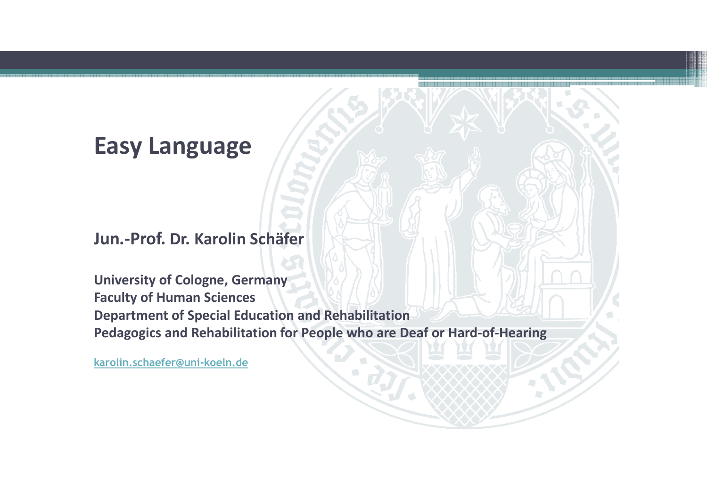#### **Easy Language**

**Jun.-Prof. Dr. Karolin Schäfer**

**University of Cologne, Germany Faculty of Human Sciences Department of Special Education and RehabilitationPedagogics and Rehabilitation for People who are Deaf or Hard-of-Hearing**

**karolin.schaefer@uni-koeln.de**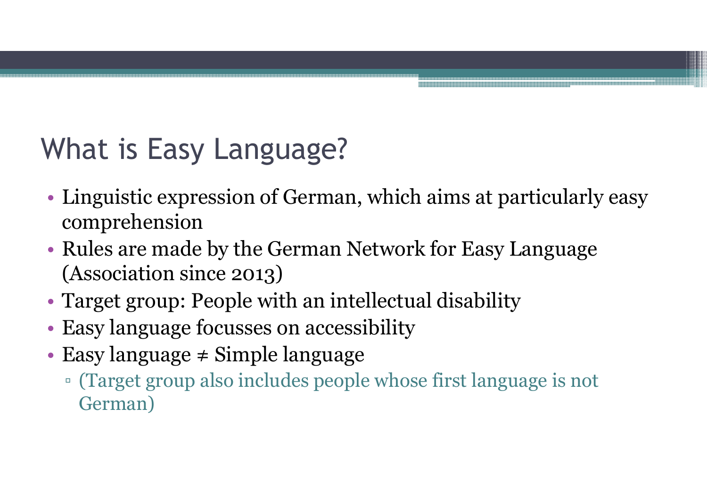## What is Easy Language?

- • Linguistic expression of German, which aims at particularly easy comprehension
- $\bullet$  Rules are mad Rules are made by the German Network for Easy Language (Association since 2013)
- •Target group: People with an intellectual disabilit y
- •Easy language focusses on accessibility
- • Easy language ≠ Simple language
	- □ (Target group also includes people whose first language is not<br>German) German)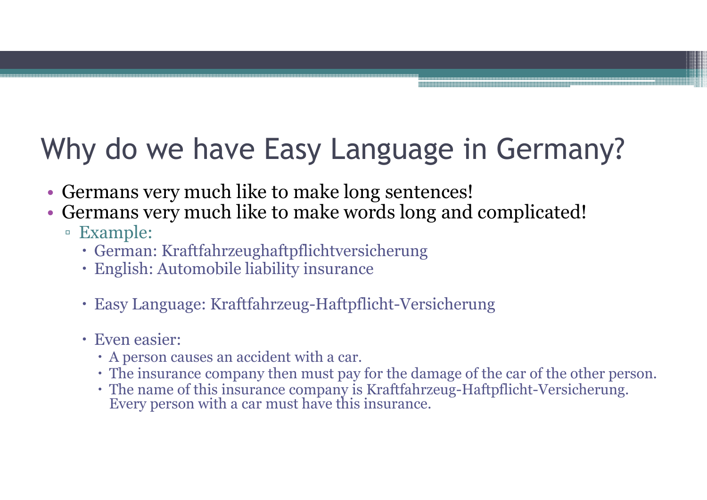# Why do we have Easy Language in Germany?

- Germans very much like to make long sentences!<br>• Germans very much like to make words long and
- Germans very much like to make words long and complicated!<br>Example:
	- □ Example:<br>・German:
		- German: Kraftfahrzeughaftpflichtversicherung
		- English: Automobile liability insurance
		- Easy Language: Kraftfahrzeug-Haftpflicht-Versicherung
		- Even easier:
			- A person causes an accident with a car.
			- The insurance company then must pay for the damage of the car of the other person.
			- The name of this insurance company is Kraftfahrzeug-Haftpflicht-Versicherung. Every person with a car must have this insurance.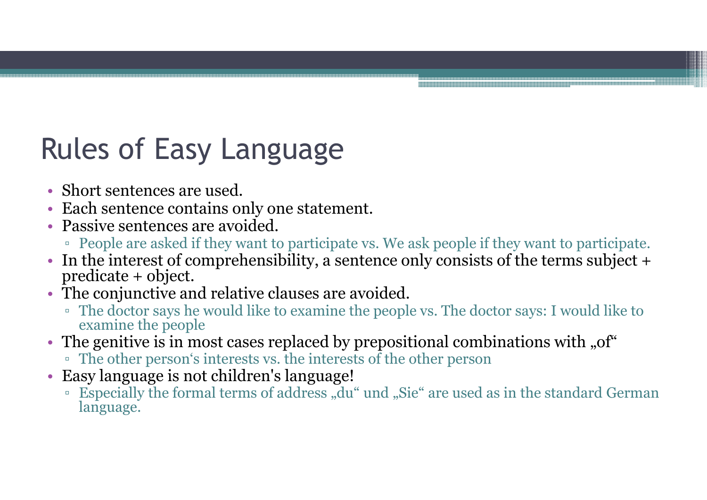## Rules of Easy Language

- Short sentences are used.
- Short sentences are used.<br>• Each sentence contains only one statement.<br>• Passive sentences are avoided.
- Passive sentences are avoided.
- Passive sentences are avoided.<br>• People are asked if they want to participate vs. We ask people if they want to participate.<br>• In the interest of comprehensibility, a sentence only consists of the terms subject +
- In the interest of comprehensibility, a sentence only consists of the terms subject + predicate + object.<br>• The conjunctive and relative clauses are avoided.
- The conjunctive and relative clauses are avoided.<br>The doctor says he would like to examine the peopl
	- <p>■ The doctor says he would like to examine the people vs. The doctor says: I would like to examine the people</p>\n<p>■ <b>The atomic time</b> is in most cases replaced by prepositional combinations with <math display="inline">^{\circ}</math></p>
- The genitive is in most cases replaced by prepositional combinations with "of"  $\overline{\phantom{a}}$  The other person's interests vs. the interests of the other person
	- □ The other person's interests vs. the interests of the other person<br>Easy language is not children's language!
- Easy language is not children's language!<br>"Especially the formal terms of address "du"
	- □ Especially the formal terms of address "du" und "Sie" are used as in the standard German language.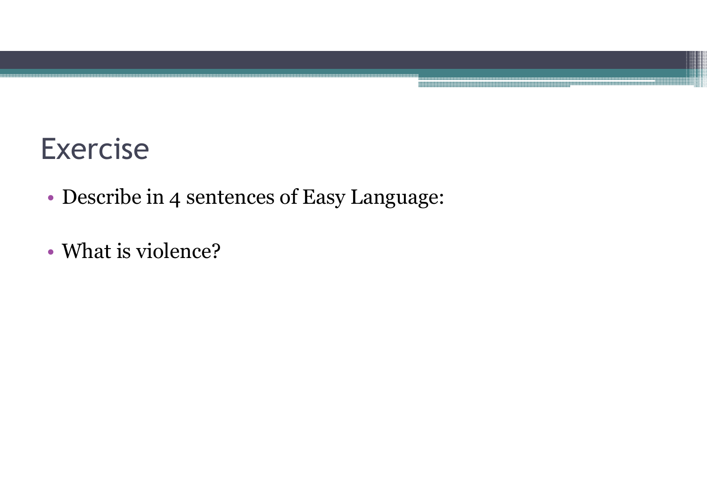#### Exercise

- •Describe in 4 sentences of Easy Language:
- •What is violence?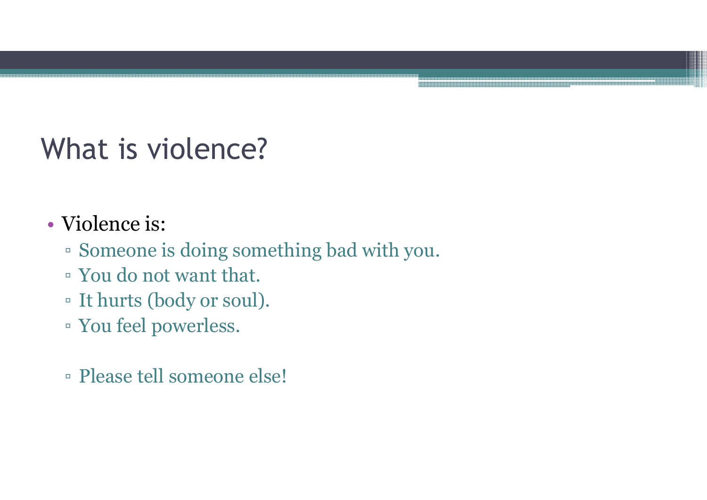# What is violence?

- •• Violence is:<br>Romeone is
	- $\bullet$  Someone is doing something bad with you.<br> $\bullet$  You do not wont that
	- □ You do not want that.<br>□ It burts (body or soul)
	- □ It hurts (body or soul).<br>□ You fool powerloss
	- You feel powerless.
	- Please tell someone else!